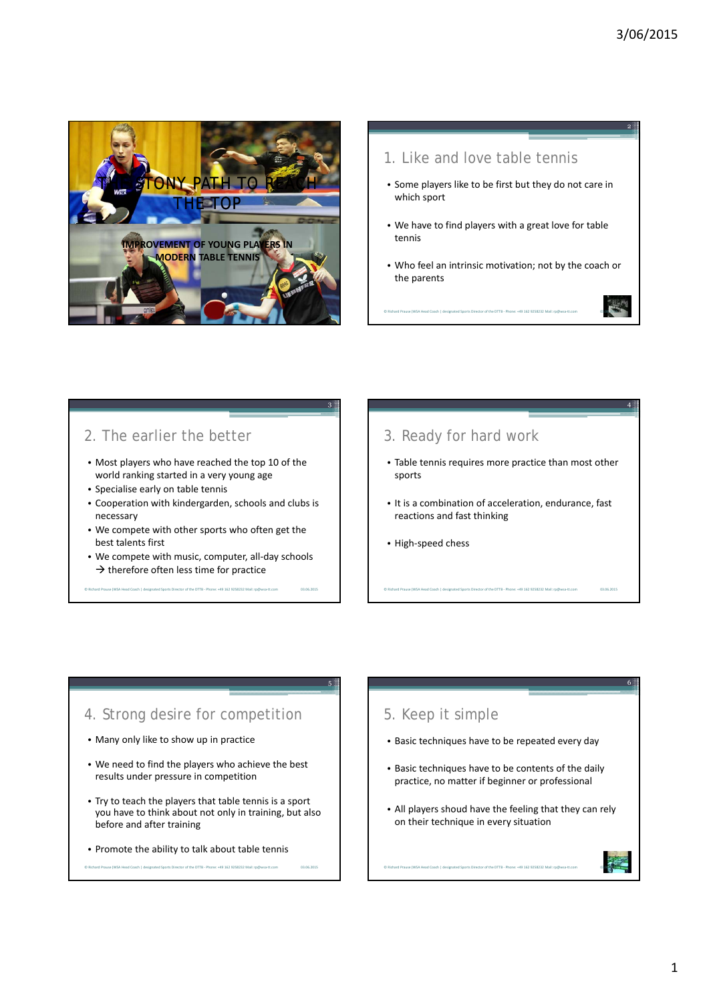03.06.2015

4

03.06.2015

6

03.06.2015



## 1. Like and love table tennis

- Some players like to be first but they do not care in which sport
- We have to find players with a great love for table tennis
- Who feel an intrinsic motivation; not by the coach or the parents

© Richard Prause (WSA Head Coach | designated Sports Director of the DTTB ‐ Phone: +49 162 9258232 Mail: rp@wsa‐tt.com

## 2. The earlier the better

- Most players who have reached the top 10 of the world ranking started in a very young age
- Specialise early on table tennis
- Cooperation with kindergarden, schools and clubs is necessary
- We compete with other sports who often get the best talents first
- We compete with music, computer, all-day schools  $\rightarrow$  therefore often less time for practice

or of the DTTB - Phone: +49 162 9258232 Mail: rn@w

03.06.2015

5

03.06.2015

3

# 3. Ready for hard work

- Table tennis requires more practice than most other sports
- It is a combination of acceleration, endurance, fast reactions and fast thinking

© Richard Prause (WSA Head Coach | designated Sports Director of the DTTB ‐ Phone: +49 162 9258232 Mail: rp@wsa‐tt.com

• High‐speed chess

#### 4. Strong desire for competition

- Many only like to show up in practice
- We need to find the players who achieve the best results under pressure in competition
- Try to teach the players that table tennis is a sport you have to think about not only in training, but also before and after training
- Promote the ability to talk about table tennis

© Richard Prause (WSA Head Coach | designated Sports Director of the DTTB ‐ Phone: +49 162 9258232 Mail: rp@wsa‐tt.com

# 5. Keep it simple

- Basic techniques have to be repeated every day
- Basic techniques have to be contents of the daily practice, no matter if beginner or professional
- All players shoud have the feeling that they can rely on their technique in every situation

© Richard Prause (WSA Head Coach | designated Sports Director of the DTTB ‐ Phone: +49 162 9258232 Mail: rp@wsa‐tt.com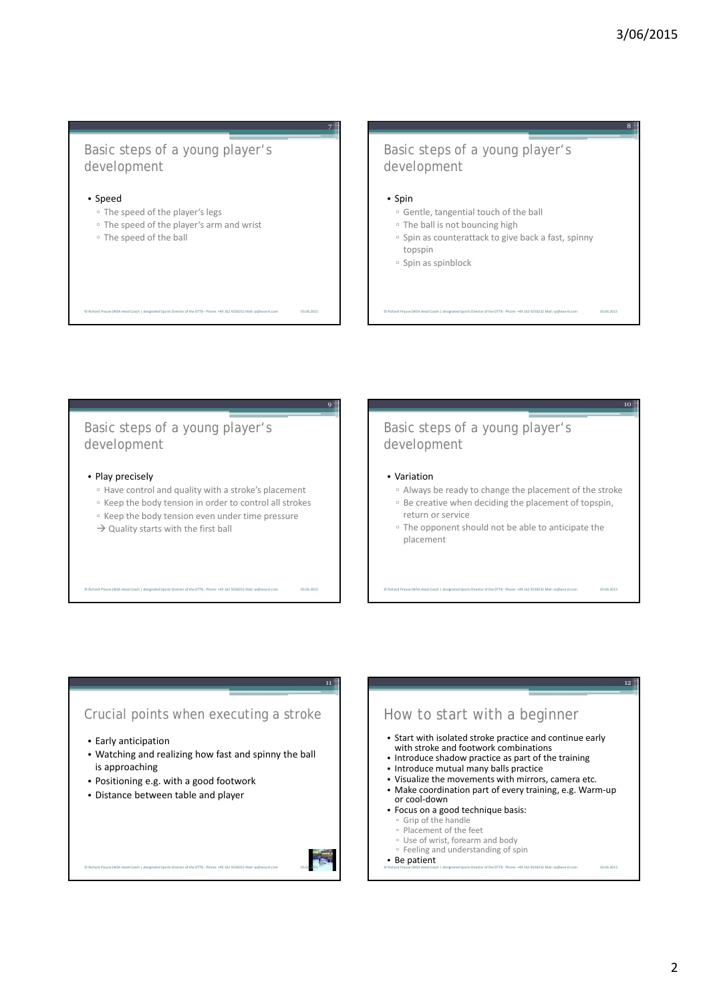03.06.2015

10

03.06.2015

12

#### Basic steps of a young player's development

#### • Speed

- The speed of the player's legs
- The speed of the player's arm and wrist

© Richard Prause (WSA Head Coach | designated Sports Director of the DTTB ‐ Phone: +49 162 9258232 Mail: rp@wsa‐tt.com

▫ The speed of the ball

#### Basic steps of a young player's development

#### • Spin

03.06.2015

9

03.06.2015

11

7

- Gentle, tangential touch of the ball
- The ball is not bouncing high
- Spin as counterattack to give back a fast, spinny

© Richard Prause (WSA Head Coach | designated Sports Director of the DTTB ‐ Phone: +49 162 9258232 Mail: rp@wsa‐tt.com

- topspin
- Spin as spinblock

#### Basic steps of a young player's development

- Play precisely
	- Have control and quality with a stroke's placement
	- Keep the body tension in order to control all strokes
	- Keep the body tension even under time pressure
	- $\rightarrow$  Quality starts with the first ball

© Richard Prause (WSA Head Coach | designated Sports Director of the DTTB ‐ Phone: +49 162 9258232 Mail: rp@wsa‐tt.com

#### Basic steps of a young player's development

#### • Variation

- Always be ready to change the placement of the stroke ▫ Be creative when deciding the placement of topspin, return or service
- The opponent should not be able to anticipate the placement

© Richard Prause (WSA Head Coach | designated Sports Director of the DTTB ‐ Phone: +49 162 9258232 Mail: rp@wsa‐tt.com

#### Crucial points when executing a stroke

- Early anticipation
- Watching and realizing how fast and spinny the ball is approaching
- Positioning e.g. with a good footwork

© Richard Prause (WSA Head Coach | designated Sports Director of the DTTB ‐ Phone: +49 162 9258232 Mail: rp@wsa‐tt.com

• Distance between table and player



#### How to start with a beginner • Start with isolated stroke practice and continue early with stroke and footwork combinations • Introduce shadow practice as part of the training • Introduce mutual many balls practice • Visualize the movements with mirrors, camera etc. • Make coordination part of every training, e.g. Warm‐up or cool‐down • Focus on a good technique basis: ▫ Grip of the handle ▫ Placement of the feet ▫ Use of wrist, forearm and body ▫ Feeling and understanding of spin • Be patient © Richard Prause (WSA Head Coach | designated Sports Director of the DTTB ‐ Phone: +49 162 9258232 Mail: rp@wsa‐tt.com 03.06.2015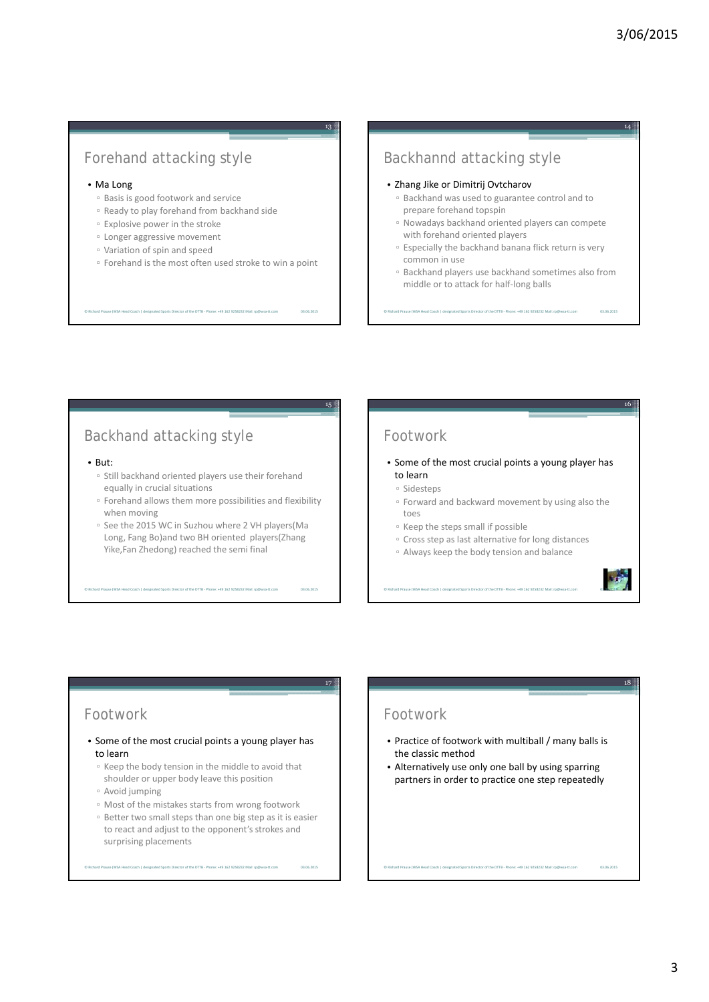## Forehand attacking style

#### • Ma Long

- Basis is good footwork and service
- Ready to play forehand from backhand side

© Richard Prause (WSA Head Coach | designated Sports Director of the DTTB ‐ Phone: +49 162 9258232 Mail: rp@wsa‐tt.com

- Explosive power in the stroke
- Longer aggressive movement
- Variation of spin and speed
- Forehand is the most often used stroke to win a point

03.06.2015

15

03.06.2015

17

03.06.2015

13

#### Backhannd attacking style

- Zhang Jike or Dimitrij Ovtcharov
	- Backhand was used to guarantee control and to prepare forehand topspin
	- Nowadays backhand oriented players can compete with forehand oriented players
	- Especially the backhand banana flick return is very common in use
	- Backhand players use backhand sometimes also from middle or to attack for half‐long balls

© Richard Prause (WSA Head Coach | designated Sports Director of the DTTB ‐ Phone: +49 162 9258232 Mail: rp@wsa‐tt.com

## Backhand attacking style

#### • But:

- Still backhand oriented players use their forehand equally in crucial situations
- Forehand allows them more possibilities and flexibility when moving
- See the 2015 WC in Suzhou where 2 VH players(Ma Long, Fang Bo)and two BH oriented players(Zhang Yike,Fan Zhedong) reached the semi final

© Richard Prause (WSA Head Coach | designated Sports Director of the DTTB ‐ Phone: +49 162 9258232 Mail: rp@wsa‐tt.com

## Footwork

- Some of the most crucial points a young player has to learn
	- Sidesteps
	- Forward and backward movement by using also the toes
	- Keep the steps small if possible
- Cross step as last alternative for long distances
- Always keep the body tension and balance

© Richard Prause (WSA Head Coach | designated Sports Director of the DTTB ‐ Phone: +49 162 9258232 Mail: rp@wsa‐tt.com



18

03.06.2015

03.06.2015

16

#### Footwork

• Some of the most crucial points a young player has to learn

#### ▫ Keep the body tension in the middle to avoid that shoulder or upper body leave this position

- Avoid jumping
- Most of the mistakes starts from wrong footwork

© Richard Prause (WSA Head Coach | designated Sports Director of the DTTB ‐ Phone: +49 162 9258232 Mail: rp@wsa‐tt.com

▫ Better two small steps than one big step as it is easier to react and adjust to the opponent's strokes and surprising placements

### Footwork

- Practice of footwork with multiball / many balls is the classic method
- Alternatively use only one ball by using sparring partners in order to practice one step repeatedly

© Richard Prause (WSA Head Coach | designated Sports Director of the DTTB ‐ Phone: +49 162 9258232 Mail: rp@wsa‐tt.com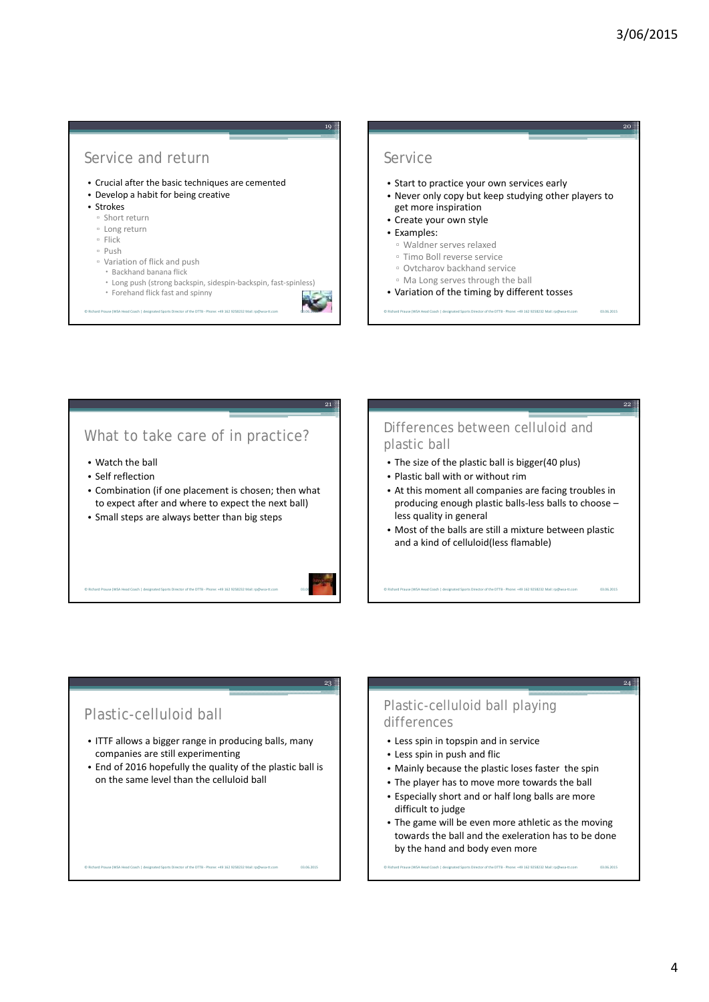03.06.2015

22

24

#### Service and return

- Crucial after the basic techniques are cemented
- Develop a habit for being creative
- Strokes
	- Short return
	- Long return
	- Flick
- Push
- Variation of flick and push
	- Backhand banana flick
	- Long push (strong backspin, sidespin‐backspin, fast‐spinless)
	- Forehand flick fast and spinny
- © Richard Prause (WSA Head Coach | designated Sports Director of the DTTB ‐ Phone: +49 162 9258232 Mail: rp@wsa‐tt.com

#### Service

- Start to practice your own services early
- Never only copy but keep studying other players to get more inspiration
- Create your own style
- Examples:
	- Waldner serves relaxed
	- Timo Boll reverse service
	- Ovtcharov backhand service
- Ma Long serves through the ball
- Variation of the timing by different tosses
- © Richard Prause (WSA Head Coach | designated Sports Director of the DTTB ‐ Phone: +49 162 9258232 Mail: rp@wsa‐tt.com

#### What to take care of in practice?

- Watch the ball
- Self reflection
- Combination (if one placement is chosen; then what to expect after and where to expect the next ball)
- Small steps are always better than big steps

© Richard Prause (WSA Head Coach | designated Sports Director of the DTTB ‐ Phone: +49 162 9258232 Mail: rp@wsa‐tt.com

# 03.06.2015

23

03.06.2015

21

19

#### Differences between celluloid and plastic ball

- The size of the plastic ball is bigger(40 plus)
- Plastic ball with or without rim
- At this moment all companies are facing troubles in producing enough plastic balls‐less balls to choose – less quality in general
- Most of the balls are still a mixture between plastic and a kind of celluloid(less flamable)

© Richard Prause (WSA Head Coach | designated Sports Director of the DTTB ‐ Phone: +49 162 9258232 Mail: rp@wsa‐tt.com 03.06.2015

#### Plastic-celluloid ball

• ITTF allows a bigger range in producing balls, many companies are still experimenting

© Richard Prause (WSA Head Coach | designated Sports Director of the DTTB ‐ Phone: +49 162 9258232 Mail: rp@wsa‐tt.com 03.06.2015

• End of 2016 hopefully the quality of the plastic ball is on the same level than the celluloid ball

#### Plastic-celluloid ball playing differences

- Less spin in topspin and in service
- Less spin in push and flic
- Mainly because the plastic loses faster the spin
- The player has to move more towards the ball
- Especially short and or half long balls are more difficult to judge
- The game will be even more athletic as the moving towards the ball and the exeleration has to be done by the hand and body even more

© Richard Prause (WSA Head Coach | designated Sports Director of the DTTB ‐ Phone: +49 162 9258232 Mail: rp@wsa‐tt.com 03.06.2015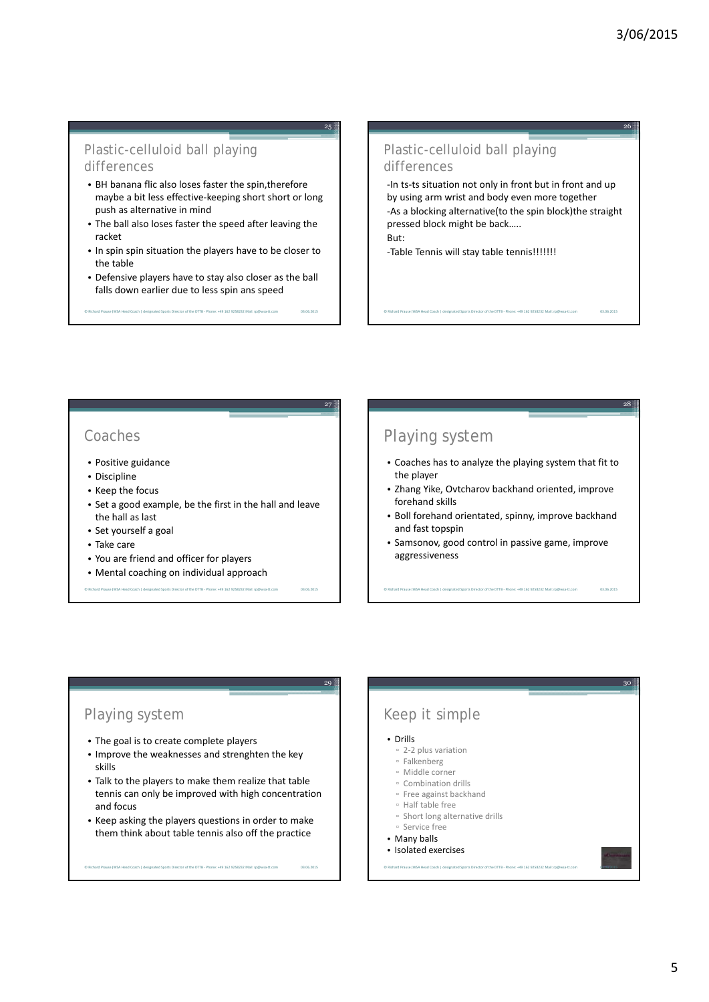03.06.2015

28

#### Plastic-celluloid ball playing differences

- BH banana flic also loses faster the spin,therefore maybe a bit less effective‐keeping short short or long push as alternative in mind
- The ball also loses faster the speed after leaving the racket
- In spin spin situation the players have to be closer to the table
- Defensive players have to stay also closer as the ball falls down earlier due to less spin ans speed

© Richard Prause (WSA Head Coach | designated Sports Director of the DTTB ‐ Phone: +49 162 9258232 Mail: rp@wsa‐tt.com 03.06.2015

## Plastic-celluloid ball playing

differences

25

27

03.06.2015

03.06.2015

‐In ts‐ts situation not only in front but in front and up by using arm wrist and body even more together ‐As a blocking alternative(to the spin block)the straight pressed block might be back….. But:

© Richard Prause (WSA Head Coach | designated Sports Director of the DTTB ‐ Phone: +49 162 9258232 Mail: rp@wsa‐tt.com 03.06.2015

‐Table Tennis will stay table tennis!!!!!!!

#### Coaches

- Positive guidance
- Discipline
- Keep the focus
- Set a good example, be the first in the hall and leave the hall as last

e Richard Prause (Prause Coach Head Coach i designated Sports Director of the D<br>⊮ Phone: +49 162 9258232 Mail: rp@w

- Set yourself a goal
- Take care
- You are friend and officer for players
- Mental coaching on individual approach

## Playing system

- Coaches has to analyze the playing system that fit to the player
- Zhang Yike, Ovtcharov backhand oriented, improve forehand skills
- Boll forehand orientated, spinny, improve backhand and fast topspin
- Samsonov, good control in passive game, improve aggressiveness

© Richard Prause (WSA Head Coach | designated Sports Director of the DTTB ‐ Phone: +49 162 9258232 Mail: rp@wsa‐tt.com

### Playing system

- The goal is to create complete players
- Improve the weaknesses and strenghten the key skills
- Talk to the players to make them realize that table tennis can only be improved with high concentration and focus
- Keep asking the players questions in order to make them think about table tennis also off the practice

© Richard Prause (WSA Head Coach | designated Sports Director of the DTTB ‐ Phone: +49 162 9258232 Mail: rp@wsa‐tt.com